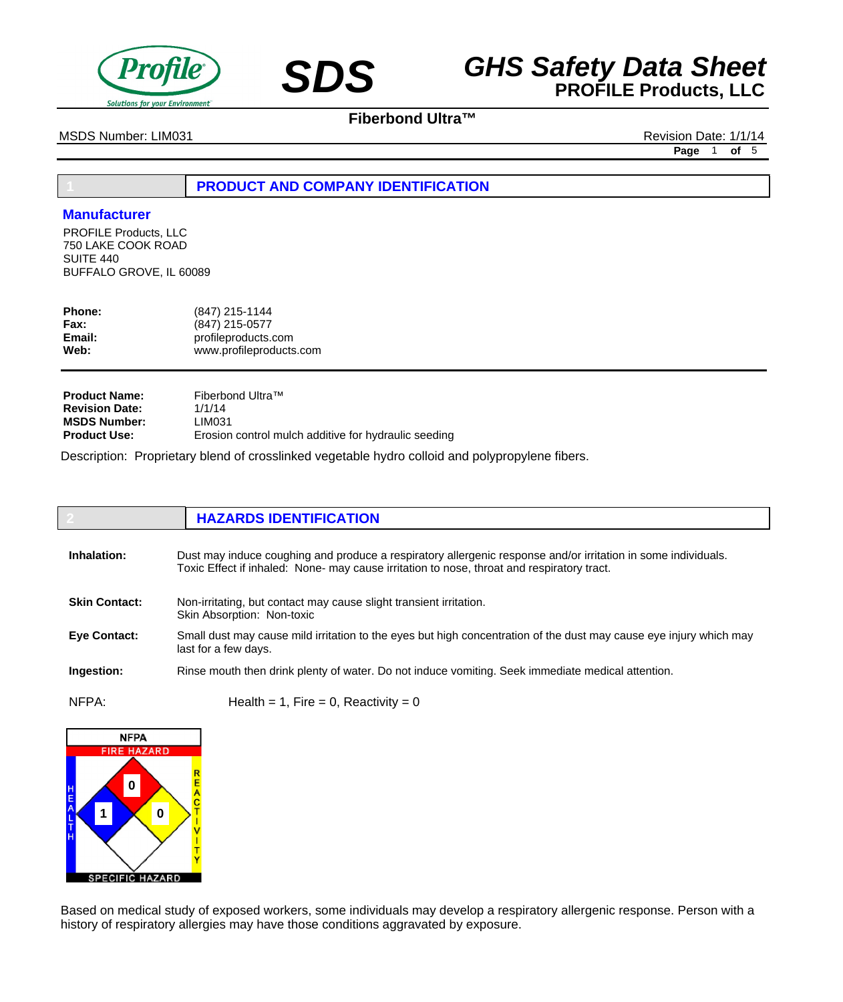



MSDS Number: LIM031 Revision Date: 1/1/14

**Page** 1 **of** 5

## **1 PRODUCT AND COMPANY IDENTIFICATION**

### **Manufacturer**

PROFILE Products, LLC 750 LAKE COOK ROAD SUITE 440 BUFFALO GROVE, IL 60089

| <b>Phone:</b> | (847) 215-1144          |
|---------------|-------------------------|
| <b>Fax:</b>   | (847) 215-0577          |
| Email:        | profileproducts.com     |
| Web:          | www.profileproducts.com |

| <b>Product Name:</b>  | Fiberbond Ultra™                                     |
|-----------------------|------------------------------------------------------|
| <b>Revision Date:</b> | 1/1/14                                               |
| <b>MSDS Number:</b>   | LIM031                                               |
| <b>Product Use:</b>   | Erosion control mulch additive for hydraulic seeding |

Description: Proprietary blend of crosslinked vegetable hydro colloid and polypropylene fibers.

|                      | <b>HAZARDS IDENTIFICATION</b>                                                                                                                                                                               |
|----------------------|-------------------------------------------------------------------------------------------------------------------------------------------------------------------------------------------------------------|
| Inhalation:          | Dust may induce coughing and produce a respiratory allergenic response and/or irritation in some individuals.<br>Toxic Effect if inhaled: None- may cause irritation to nose, throat and respiratory tract. |
| <b>Skin Contact:</b> | Non-irritating, but contact may cause slight transient irritation.<br>Skin Absorption: Non-toxic                                                                                                            |
| Eye Contact:         | Small dust may cause mild irritation to the eyes but high concentration of the dust may cause eye injury which may<br>last for a few days.                                                                  |
| Ingestion:           | Rinse mouth then drink plenty of water. Do not induce vomiting. Seek immediate medical attention.                                                                                                           |
| NFPA:                | Health = 1, Fire = 0, Reactivity = 0                                                                                                                                                                        |



Based on medical study of exposed workers, some individuals may develop a respiratory allergenic response. Person with a history of respiratory allergies may have those conditions aggravated by exposure.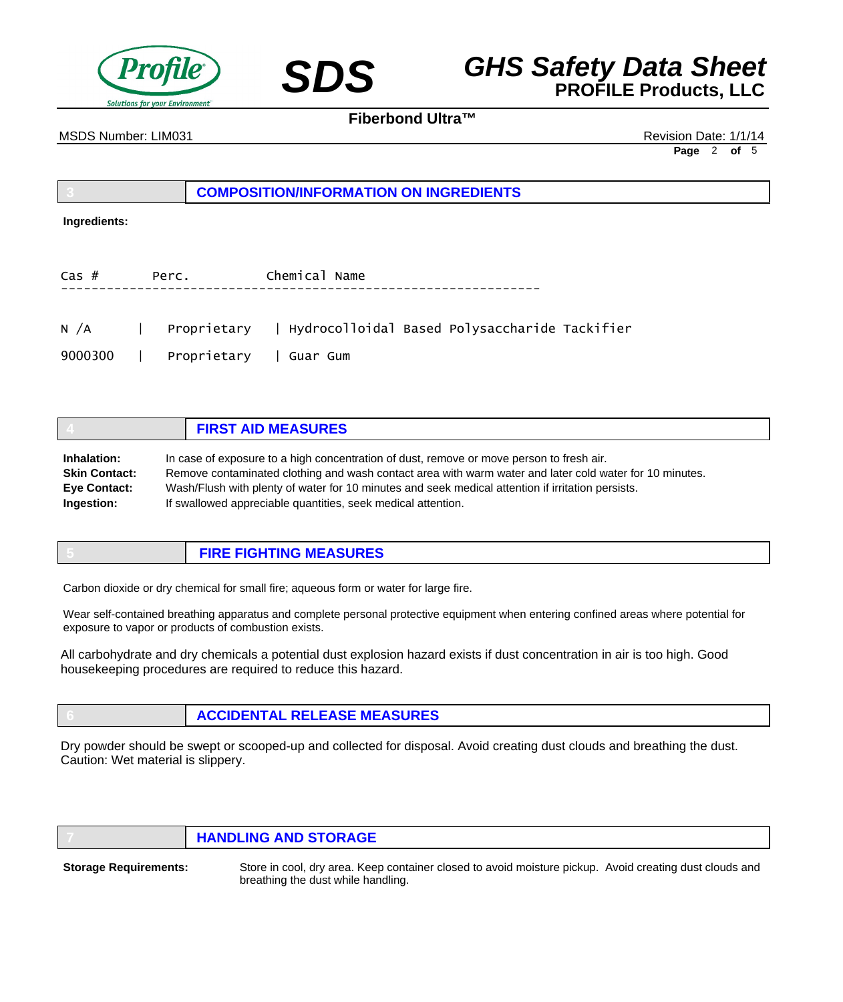



MSDS Number: LIM031 Revision Date: 1/1/14

**Page** 2 **of** 5

| COMPOSITION/INFORMATION ON INGREDIENTS |
|----------------------------------------|
|                                        |

#### **Ingredients:**

| $\textsf{Cas}\;\#$ | Perc.                     | Chemical Name |
|--------------------|---------------------------|---------------|
|                    | ------------------------- |               |

| N $/A$  | Proprietary              | Hydrocolloidal Based Polysaccharide Tackifier |
|---------|--------------------------|-----------------------------------------------|
| 9000300 | │ Proprietarv │ Guar Gum |                                               |

|                      | <b>FIRST AID MEASURES</b>                                                                               |
|----------------------|---------------------------------------------------------------------------------------------------------|
| Inhalation:          | In case of exposure to a high concentration of dust, remove or move person to fresh air.                |
| <b>Skin Contact:</b> | Remove contaminated clothing and wash contact area with warm water and later cold water for 10 minutes. |
| <b>Eve Contact:</b>  | Wash/Flush with plenty of water for 10 minutes and seek medical attention if irritation persists.       |
| Ingestion:           | If swallowed appreciable quantities, seek medical attention.                                            |

| <b>FIRE FIGHTING MEASURES</b> |
|-------------------------------|
|-------------------------------|

Carbon dioxide or dry chemical for small fire; aqueous form or water for large fire.

Wear self-contained breathing apparatus and complete personal protective equipment when entering confined areas where potential for exposure to vapor or products of combustion exists.

All carbohydrate and dry chemicals a potential dust explosion hazard exists if dust concentration in air is too high. Good housekeeping procedures are required to reduce this hazard.

**6 ACCIDENTAL RELEASE MEASURES**

Dry powder should be swept or scooped-up and collected for disposal. Avoid creating dust clouds and breathing the dust. Caution: Wet material is slippery.

| <b>HANDLING AND STORAGE</b> |
|-----------------------------|
|                             |

**Storage Requirements:**

Store in cool, dry area. Keep container closed to avoid moisture pickup. Avoid creating dust clouds and breathing the dust while handling.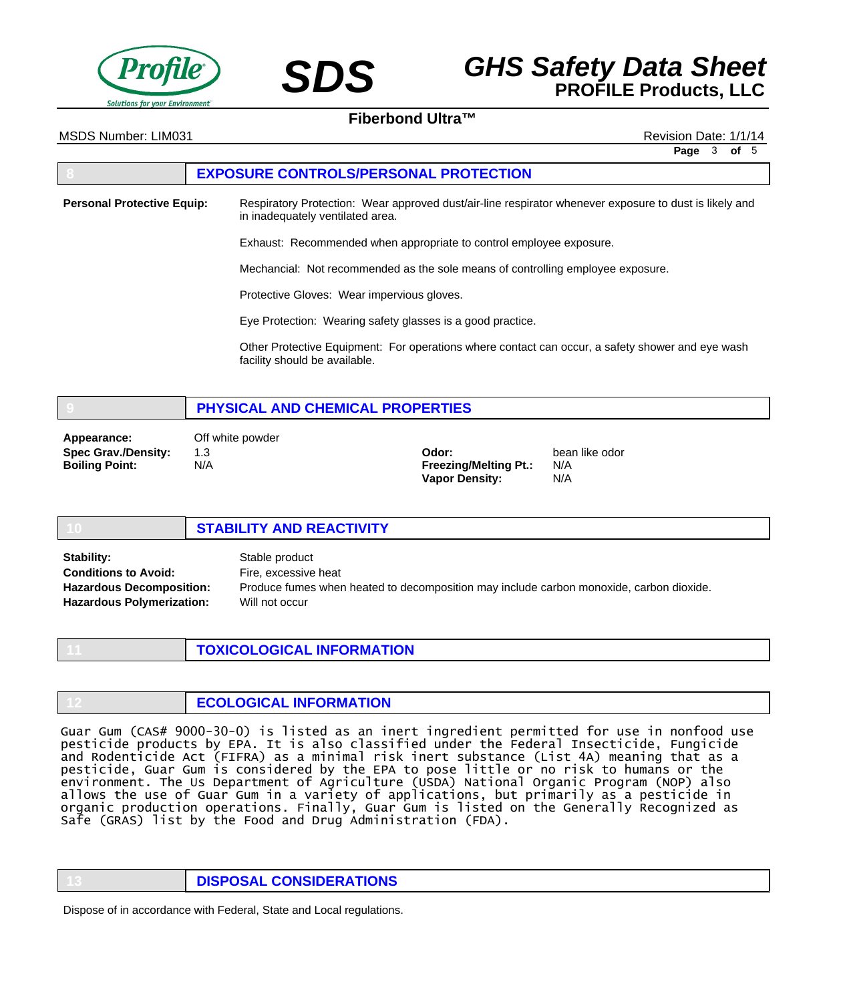



MSDS Number: LIM031 Revision Date: 1/1/14

**Page** 3 **of** 5

#### **8 EXPOSURE CONTROLS/PERSONAL PROTECTION**

Respiratory Protection: Wear approved dust/air-line respirator whenever exposure to dust is likely and in inadequately ventilated area. **Personal Protective Equip:**

Exhaust: Recommended when appropriate to control employee exposure.

Mechancial: Not recommended as the sole means of controlling employee exposure.

Protective Gloves: Wear impervious gloves.

Eye Protection: Wearing safety glasses is a good practice.

Other Protective Equipment: For operations where contact can occur, a safety shower and eye wash facility should be available.

# **9 PHYSICAL AND CHEMICAL PROPERTIES**

**Spec Grav./Density: Boiling Point: Appearance:** Off white powder

1.3 N/A

**Odor: Freezing/Melting Pt.: Vapor Density:**

bean like odor N/A N/A

#### **10 STABILITY AND REACTIVITY** Stable product Fire, excessive heat Produce fumes when heated to decomposition may include carbon monoxide, carbon dioxide. Will not occur **Stability: Conditions to Avoid: Hazardous Decomposition: Hazardous Polymerization:**

**11 TOXICOLOGICAL INFORMATION**

| <b>ECOLOGICAL INFORMATION</b> |
|-------------------------------|
|                               |

Guar Gum (CAS# 9000-30-0) is listed as an inert ingredient permitted for use in nonfood use pesticide products by EPA. It is also classified under the Federal Insecticide, Fungicide and Rodenticide Act (FIFRA) as a minimal risk inert substance (List 4A) meaning that as a pesticide, Guar Gum is considered by the EPA to pose little or no risk to humans or the environment. The Us Department of Agriculture (USDA) National Organic Program (NOP) also allows the use of Guar Gum in a variety of applications, but primarily as a pesticide in organic production operations. Finally, Guar Gum is listed on the Generally Recognized as Safe (GRAS) list by the Food and Drug Administration (FDA).

**13 DISPOSAL CONSIDERATIONS**

Dispose of in accordance with Federal, State and Local regulations.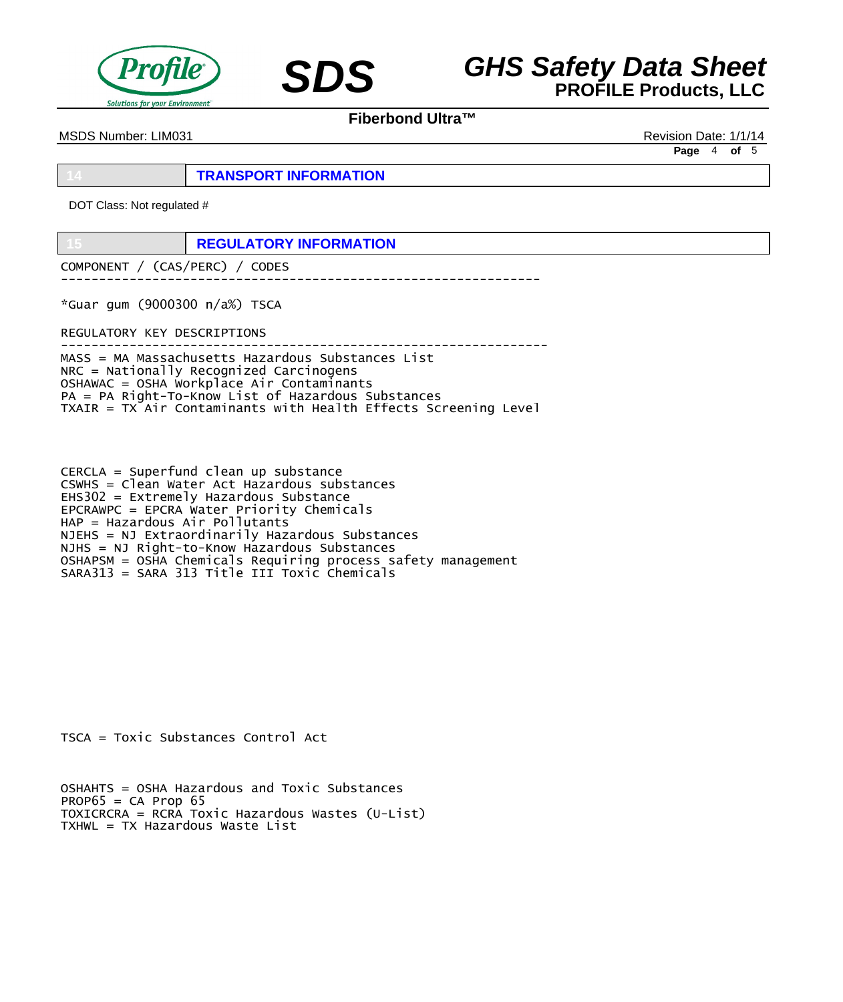



MSDS Number: LIM031 Revision Date: 1/1/14

**Page** 4 **of** 5

**14 TRANSPORT INFORMATION**

DOT Class: Not regulated #

**15 REGULATORY INFORMATION**

COMPONENT / (CAS/PERC) / CODES ---------------------------------------------------------------

\*Guar gum (9000300 n/a%) TSCA

REGULATORY KEY DESCRIPTIONS

---------------------------------------------------------------- MASS = MA Massachusetts Hazardous Substances List NRC = Nationally Recognized Carcinogens OSHAWAC = OSHA Workplace Air Contaminants PA = PA Right-To-Know List of Hazardous Substances TXAIR = TX Air Contaminants with Health Effects Screening Level

CERCLA = Superfund clean up substance CSWHS = Clean Water Act Hazardous substances EHS302 = Extremely Hazardous Substance EPCRAWPC = EPCRA Water Priority Chemicals HAP = Hazardous Air Pollutants NJEHS = NJ Extraordinarily Hazardous Substances NJHS = NJ Right-to-Know Hazardous Substances OSHAPSM = OSHA Chemicals Requiring process safety management SARA313 = SARA 313 Title III Toxic Chemicals

TSCA = Toxic Substances Control Act

OSHAHTS = OSHA Hazardous and Toxic Substances  $PROP65 = CA$  Prop 65 TOXICRCRA = RCRA Toxic Hazardous Wastes (U-List) TXHWL = TX Hazardous Waste List